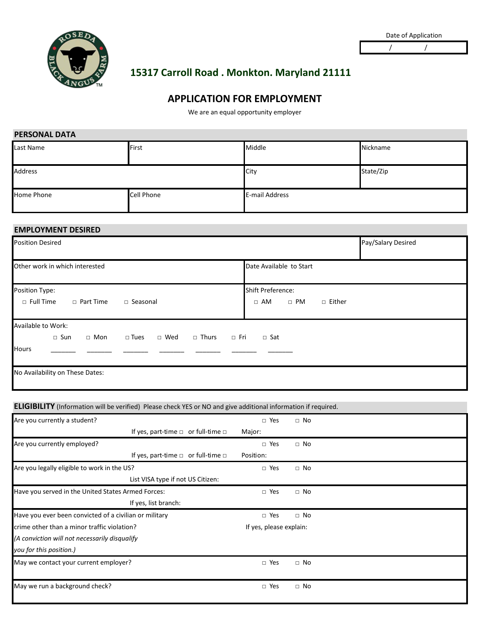

/ /

# **15317 Carroll Road . Monkton. Maryland 21111**

# **APPLICATION FOR EMPLOYMENT**

We are an equal opportunity employer

| <b>PERSONAL DATA</b> |              |                       |           |
|----------------------|--------------|-----------------------|-----------|
| Last Name            | <b>First</b> | Middle                | Nickname  |
| <b>Address</b>       |              | City                  | State/Zip |
| Home Phone           | Cell Phone   | <b>E-mail Address</b> |           |

### **EMPLOYMENT DESIRED**

| <b>Position Desired</b>                                                                                                                    | Pay/Salary Desired                                             |
|--------------------------------------------------------------------------------------------------------------------------------------------|----------------------------------------------------------------|
| Other work in which interested                                                                                                             | Date Available to Start                                        |
| Position Type:<br>$\Box$ Full Time<br>□ Part Time<br>□ Seasonal                                                                            | <b>Shift Preference:</b><br>$\Box$ AM<br>$\Box$ PM<br>□ Either |
| Available to Work:<br>$\Box$ Fri<br>□ Tues<br>□ Wed □ Thurs<br>$\Box$ Sun<br>$\Box$ Mon<br><b>Hours</b><br>No Availability on These Dates: | □ Sat                                                          |

#### **ELIGIBILITY** (Information will be verified) Please check YES or NO and give additional information if required.

| Are you currently a student?                           |                                              | $\Box$ Yes              | $\Box$ No |  |
|--------------------------------------------------------|----------------------------------------------|-------------------------|-----------|--|
|                                                        | If yes, part-time $\Box$ or full-time $\Box$ | Major:                  |           |  |
| Are you currently employed?                            |                                              | $\Box$ Yes              | $\Box$ No |  |
|                                                        | If yes, part-time $\Box$ or full-time $\Box$ | Position:               |           |  |
| Are you legally eligible to work in the US?            |                                              | Yes<br>$\Box$           | $\Box$ No |  |
|                                                        | List VISA type if not US Citizen:            |                         |           |  |
| Have you served in the United States Armed Forces:     |                                              | $\Box$ Yes              | $\Box$ No |  |
|                                                        | If yes, list branch:                         |                         |           |  |
| Have you ever been convicted of a civilian or military |                                              | $\Box$ Yes              | $\Box$ No |  |
| crime other than a minor traffic violation?            |                                              | If yes, please explain: |           |  |
| (A conviction will not necessarily disqualify          |                                              |                         |           |  |
| you for this position.)                                |                                              |                         |           |  |
| May we contact your current employer?                  |                                              | $\Box$ Yes              | $\Box$ No |  |
|                                                        |                                              |                         |           |  |
| May we run a background check?                         |                                              | $\Box$ Yes              | $\Box$ No |  |
|                                                        |                                              |                         |           |  |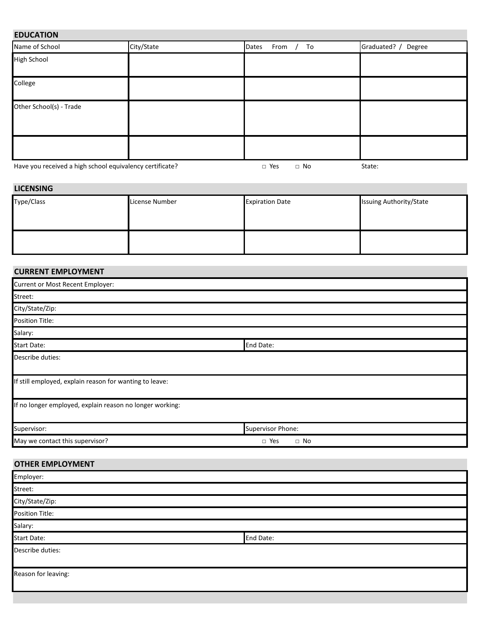## **EDUCATION**

| Name of School                                           | City/State | From<br>To<br>Dates     | Graduated? /<br>Degree |
|----------------------------------------------------------|------------|-------------------------|------------------------|
| <b>High School</b>                                       |            |                         |                        |
| College                                                  |            |                         |                        |
| Other School(s) - Trade                                  |            |                         |                        |
|                                                          |            |                         |                        |
| Have you received a high school equivalency certificate? |            | $\Box$ Yes<br>$\Box$ No | State:                 |

#### **LICENSING**

| Type/Class | License Number | <b>Expiration Date</b> | <b>Issuing Authority/State</b> |
|------------|----------------|------------------------|--------------------------------|
|            |                |                        |                                |
|            |                |                        |                                |
|            |                |                        |                                |

## **CURRENT EMPLOYMENT**

| Current or Most Recent Employer:                         |                         |
|----------------------------------------------------------|-------------------------|
| Street:                                                  |                         |
| City/State/Zip:                                          |                         |
| Position Title:                                          |                         |
| Salary:                                                  |                         |
| <b>Start Date:</b>                                       | End Date:               |
| Describe duties:                                         |                         |
| If still employed, explain reason for wanting to leave:  |                         |
| If no longer employed, explain reason no longer working: |                         |
| Supervisor:                                              | Supervisor Phone:       |
| May we contact this supervisor?                          | $\Box$ Yes<br>$\Box$ No |

# **OTHER EMPLOYMENT**

| Employer:           |           |
|---------------------|-----------|
| Street:             |           |
| City/State/Zip:     |           |
| Position Title:     |           |
| Salary:             |           |
| <b>Start Date:</b>  | End Date: |
| Describe duties:    |           |
| Reason for leaving: |           |
|                     |           |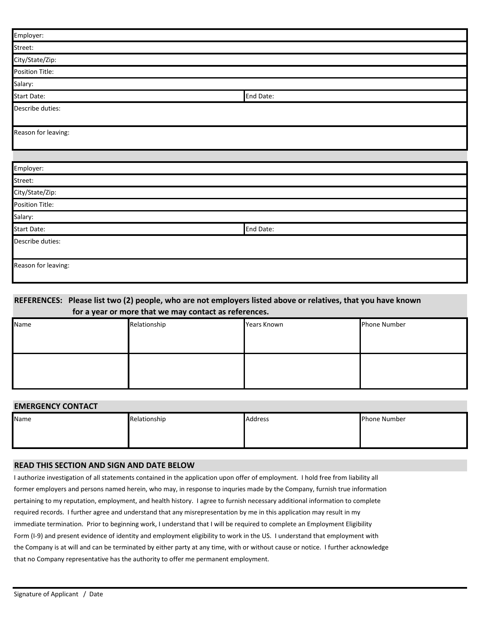| Employer:           |           |
|---------------------|-----------|
| Street:             |           |
| City/State/Zip:     |           |
| Position Title:     |           |
| Salary:             |           |
| <b>Start Date:</b>  | End Date: |
| Describe duties:    |           |
| Reason for leaving: |           |
|                     |           |
| Employer:           |           |
| Street:             |           |
| City/State/Zip:     |           |
| Position Title:     |           |
| Salary:             |           |
| Start Date:         | End Date: |
| Describe duties:    |           |
| Reason for leaving: |           |

#### **REFERENCES: Please list two (2) people, who are not employers listed above or relatives, that you have known for a year or more that we may contact as references.**

| Name | Relationship | Years Known | Phone Number |
|------|--------------|-------------|--------------|
|      |              |             |              |
|      |              |             |              |
|      |              |             |              |
|      |              |             |              |
|      |              |             |              |
|      |              |             |              |

#### **EMERGENCY CONTACT**

| Name | Relationship | Address | <b>Phone Number</b> |
|------|--------------|---------|---------------------|
|      |              |         |                     |
|      |              |         |                     |

#### **READ THIS SECTION AND SIGN AND DATE BELOW**

I authorize investigation of all statements contained in the application upon offer of employment. I hold free from liability all former employers and persons named herein, who may, in response to inquries made by the Company, furnish true information pertaining to my reputation, employment, and health history. I agree to furnish necessary additional information to complete required records. I further agree and understand that any misrepresentation by me in this application may result in my immediate termination. Prior to beginning work, I understand that I will be required to complete an Employment Eligibility Form (I-9) and present evidence of identity and employment eligibility to work in the US. I understand that employment with the Company is at will and can be terminated by either party at any time, with or without cause or notice. I further acknowledge that no Company representative has the authority to offer me permanent employment.